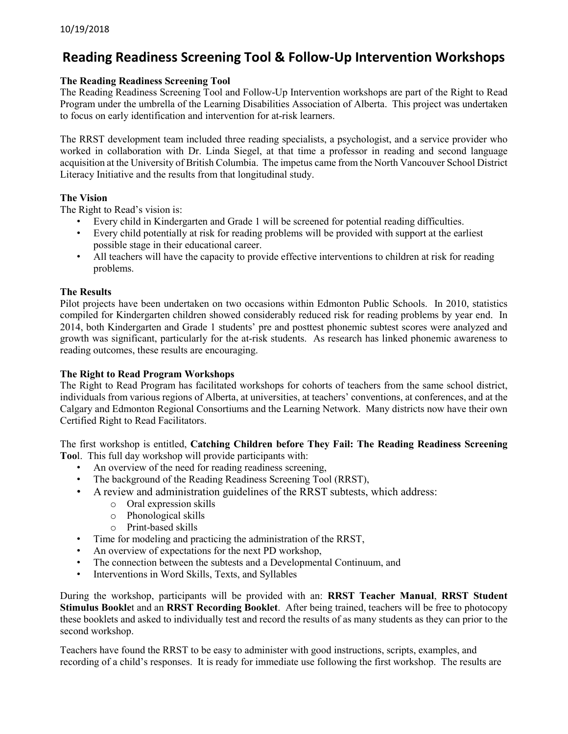# **Reading Readiness Screening Tool & Follow-Up Intervention Workshops**

#### **The Reading Readiness Screening Tool**

The Reading Readiness Screening Tool and Follow-Up Intervention workshops are part of the Right to Read Program under the umbrella of the Learning Disabilities Association of Alberta. This project was undertaken to focus on early identification and intervention for at-risk learners.

The RRST development team included three reading specialists, a psychologist, and a service provider who worked in collaboration with Dr. Linda Siegel, at that time a professor in reading and second language acquisition at the University of British Columbia. The impetus came from the North Vancouver School District Literacy Initiative and the results from that longitudinal study.

#### **The Vision**

The Right to Read's vision is:

- Every child in Kindergarten and Grade 1 will be screened for potential reading difficulties.
- Every child potentially at risk for reading problems will be provided with support at the earliest possible stage in their educational career.
- All teachers will have the capacity to provide effective interventions to children at risk for reading problems.

#### **The Results**

Pilot projects have been undertaken on two occasions within Edmonton Public Schools. In 2010, statistics compiled for Kindergarten children showed considerably reduced risk for reading problems by year end. In 2014, both Kindergarten and Grade 1 students' pre and posttest phonemic subtest scores were analyzed and growth was significant, particularly for the at-risk students. As research has linked phonemic awareness to reading outcomes, these results are encouraging.

#### **The Right to Read Program Workshops**

The Right to Read Program has facilitated workshops for cohorts of teachers from the same school district, individuals from various regions of Alberta, at universities, at teachers' conventions, at conferences, and at the Calgary and Edmonton Regional Consortiums and the Learning Network. Many districts now have their own Certified Right to Read Facilitators.

The first workshop is entitled, **Catching Children before They Fail: The Reading Readiness Screening Too**l. This full day workshop will provide participants with:

- An overview of the need for reading readiness screening,
- The background of the Reading Readiness Screening Tool (RRST),
- A review and administration guidelines of the RRST subtests, which address:
	- o Oral expression skills
	- o Phonological skills
	- o Print-based skills
- Time for modeling and practicing the administration of the RRST,
- An overview of expectations for the next PD workshop,
- The connection between the subtests and a Developmental Continuum, and
- Interventions in Word Skills, Texts, and Syllables

During the workshop, participants will be provided with an: **RRST Teacher Manual**, **RRST Student Stimulus Bookle**t and an **RRST Recording Booklet**. After being trained, teachers will be free to photocopy these booklets and asked to individually test and record the results of as many students as they can prior to the second workshop.

Teachers have found the RRST to be easy to administer with good instructions, scripts, examples, and recording of a child's responses. It is ready for immediate use following the first workshop. The results are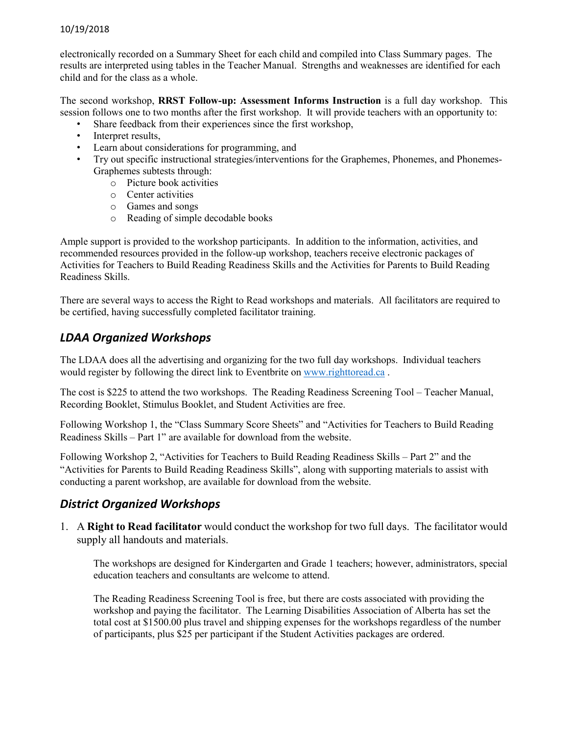#### 10/19/2018

electronically recorded on a Summary Sheet for each child and compiled into Class Summary pages. The results are interpreted using tables in the Teacher Manual. Strengths and weaknesses are identified for each child and for the class as a whole.

The second workshop, **RRST Follow-up: Assessment Informs Instruction** is a full day workshop. This session follows one to two months after the first workshop. It will provide teachers with an opportunity to:

- Share feedback from their experiences since the first workshop,
- Interpret results,
- Learn about considerations for programming, and
- Try out specific instructional strategies/interventions for the Graphemes, Phonemes, and Phonemes-Graphemes subtests through:
	- o Picture book activities
	- o Center activities
	- o Games and songs
	- o Reading of simple decodable books

Ample support is provided to the workshop participants. In addition to the information, activities, and recommended resources provided in the follow-up workshop, teachers receive electronic packages of Activities for Teachers to Build Reading Readiness Skills and the Activities for Parents to Build Reading Readiness Skills.

There are several ways to access the Right to Read workshops and materials. All facilitators are required to be certified, having successfully completed facilitator training.

### *LDAA Organized Workshops*

The LDAA does all the advertising and organizing for the two full day workshops. Individual teachers would register by following the direct link to Eventbrite on [www.righttoread.ca](http://www.righttoread.ca/) .

The cost is \$225 to attend the two workshops. The Reading Readiness Screening Tool – Teacher Manual, Recording Booklet, Stimulus Booklet, and Student Activities are free.

Following Workshop 1, the "Class Summary Score Sheets" and "Activities for Teachers to Build Reading Readiness Skills – Part 1" are available for download from the website.

Following Workshop 2, "Activities for Teachers to Build Reading Readiness Skills – Part 2" and the "Activities for Parents to Build Reading Readiness Skills", along with supporting materials to assist with conducting a parent workshop, are available for download from the website.

### *District Organized Workshops*

1. A **Right to Read facilitator** would conduct the workshop for two full days. The facilitator would supply all handouts and materials.

The workshops are designed for Kindergarten and Grade 1 teachers; however, administrators, special education teachers and consultants are welcome to attend.

The Reading Readiness Screening Tool is free, but there are costs associated with providing the workshop and paying the facilitator. The Learning Disabilities Association of Alberta has set the total cost at \$1500.00 plus travel and shipping expenses for the workshops regardless of the number of participants, plus \$25 per participant if the Student Activities packages are ordered.